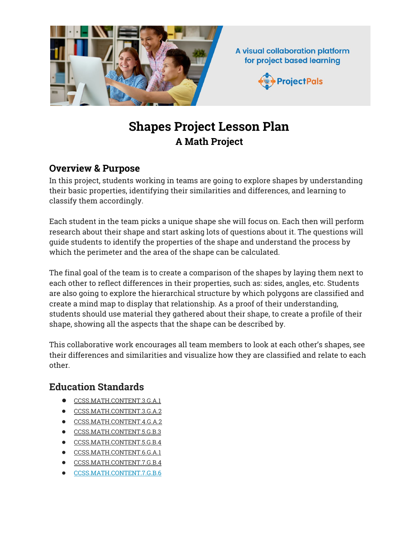

# **Shapes Project Lesson Plan A Math Project**

## **Overview & Purpose**

In this project, students working in teams are going to explore shapes by understanding their basic properties, identifying their similarities and differences, and learning to classify them accordingly.

Each student in the team picks a unique shape she will focus on. Each then will perform research about their shape and start asking lots of questions about it. The questions will guide students to identify the properties of the shape and understand the process by which the perimeter and the area of the shape can be calculated.

The final goal of the team is to create a comparison of the shapes by laying them next to each other to reflect differences in their properties, such as: sides, angles, etc. Students are also going to explore the hierarchical structure by which polygons are classified and create a mind map to display that relationship. As a proof of their understanding, students should use material they gathered about their shape, to create a profile of their shape, showing all the aspects that the shape can be described by.

This collaborative work encourages all team members to look at each other's shapes, see their differences and similarities and visualize how they are classified and relate to each other.

# **Education Standards**

- [CCSS.MATH.CONTENT.3.G.A.1](http://www.corestandards.org/Math/Content/3/G/A/1/)
- [CCSS.MATH.CONTENT.3.G.A.2](http://www.corestandards.org/Math/Content/3/G/A/2/)
- [CCSS.MATH.CONTENT.4.G.A.2](http://www.corestandards.org/Math/Content/4/G/A/2/)
- [CCSS.MATH.CONTENT.5.G.B.3](http://www.corestandards.org/Math/Content/5/G/B/3/)
- [CCSS.MATH.CONTENT.5.G.B.4](http://www.corestandards.org/Math/Content/5/G/B/4/)
- [CCSS.MATH.CONTENT.6.G.A.1](http://www.corestandards.org/Math/Content/6/G/A/1/)
- [CCSS.MATH.CONTENT.7.G.B.4](http://www.corestandards.org/Math/Content/7/G/B/4/)
- [CCSS.MATH.CONTENT.7.G.B.6](http://www.corestandards.org/Math/Content/7/G/B/6/)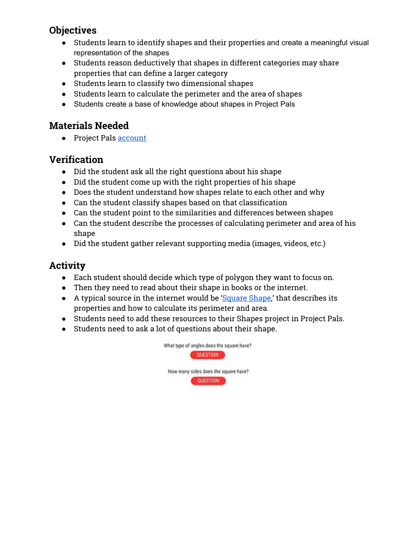# **Objectives**

- Students learn to identify shapes and their properties and create a meaningful visual representation of the shapes
- Students reason deductively that shapes in different categories may share properties that can define a larger category
- Students learn to classify two dimensional shapes
- Students learn to calculate the perimeter and the area of shapes
- Students create a base of knowledge about shapes in Project Pals

## **Materials Needed**

● Project Pals [account](https://app.projectpals.com/users/sign_in)

#### **Verification**

- Did the student ask all the right questions about his shape
- Did the student come up with the right properties of his shape
- Does the student understand how shapes relate to each other and why
- Can the student classify shapes based on that classification
- Can the student point to the similarities and differences between shapes
- Can the student describe the processes of calculating perimeter and area of his shape
- Did the student gather relevant supporting media (images, videos, etc.)

# **Activity**

- Each student should decide which type of polygon they want to focus on.
- Then they need to read about their shape in books or the internet.
- A typical source in the internet would be ['Square](http://www.k6-geometric-shapes.com/square-shape.html) Shape,' that describes its properties and how to calculate its perimeter and area.
- Students need to add these resources to their Shapes project in Project Pals.
- Students need to ask a lot of questions about their shape.

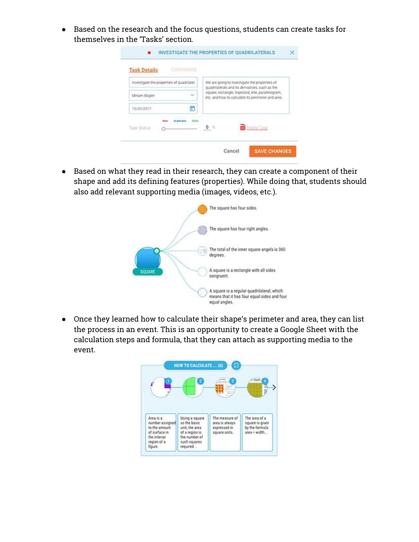● Based on the research and the focus questions, students can create tasks for themselves in the 'Tasks' section.



● Based on what they read in their research, they can create a component of their shape and add its defining features (properties). While doing that, students should also add relevant supporting media (images, videos, etc.).



● Once they learned how to calculate their shape's perimeter and area, they can list the process in an event. This is an opportunity to create a Google Sheet with the calculation steps and formula, that they can attach as supporting media to the event.

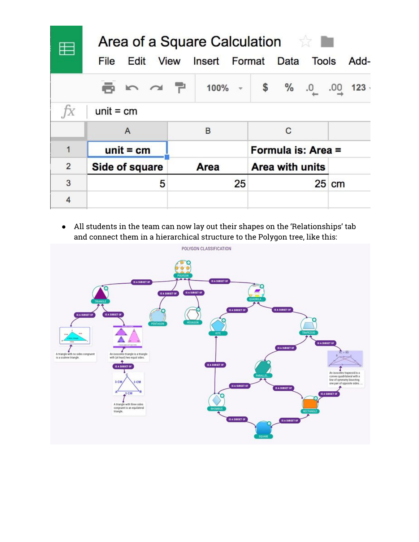|                | Area of a Square Calculation <b>Area</b> |             |                                    |       |
|----------------|------------------------------------------|-------------|------------------------------------|-------|
|                | File                                     |             | Edit View Insert Format Data Tools | Add-  |
|                |                                          |             | ■ m d P 100% - \$ % .0 .00 123     |       |
| fx             | $unit = cm$                              |             |                                    |       |
|                | A                                        | B           | C                                  |       |
| 1              | $unit = cm$                              |             | Formula is: Area =                 |       |
| $\overline{2}$ | Side of square                           | <b>Area</b> | <b>Area with units</b>             |       |
| 3              | 5                                        | 25          |                                    | 25 cm |
| $\overline{4}$ |                                          |             |                                    |       |

● All students in the team can now lay out their shapes on the 'Relationships' tab and connect them in a hierarchical structure to the Polygon tree, like this:

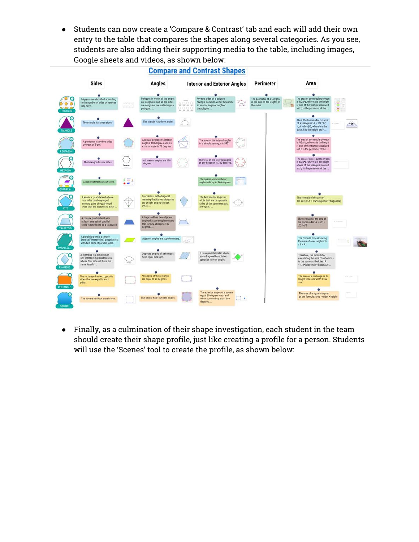● Students can now create a 'Compare & Contrast' tab and each will add their own entry to the table that compares the shapes along several categories. As you see, students are also adding their supporting media to the table, including images, Google sheets and videos, as shown below:



● Finally, as a culmination of their shape investigation, each student in the team should create their shape profile, just like creating a profile for a person. Students will use the 'Scenes' tool to create the profile, as shown below: